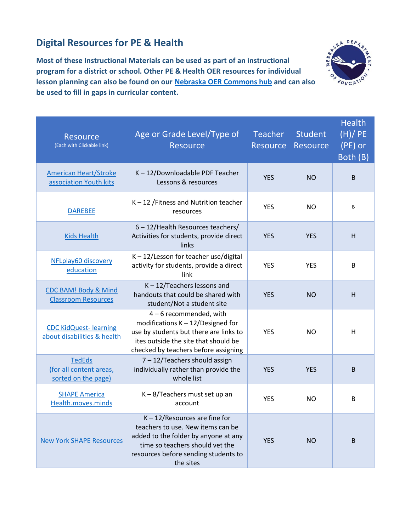## **Digital Resources for PE & Health**

**Most of these Instructional Materials can be used as part of an instructional program for a district or school. Other PE & Health OER resources for individual lesson planning can also be found on our [Nebraska OER Commons hub](https://www.oercommons.org/hubs/nebraska) and can also be used to fill in gaps in curricular content.**



| <b>Resource</b><br>(Each with Clickable link)                   | Age or Grade Level/Type of<br><b>Resource</b>                                                                                                                                                         | Teacher Student<br>Resource Resource |            | <b>Health</b><br>(H)/PE<br>(PE) or<br>Both (B) |
|-----------------------------------------------------------------|-------------------------------------------------------------------------------------------------------------------------------------------------------------------------------------------------------|--------------------------------------|------------|------------------------------------------------|
| <b>American Heart/Stroke</b><br>association Youth kits          | K-12/Downloadable PDF Teacher<br>Lessons & resources                                                                                                                                                  | <b>YES</b>                           | <b>NO</b>  | B                                              |
| <b>DAREBEE</b>                                                  | $K - 12$ /Fitness and Nutrition teacher<br>resources                                                                                                                                                  | <b>YES</b>                           | <b>NO</b>  | B                                              |
| <b>Kids Health</b>                                              | 6 - 12/Health Resources teachers/<br>Activities for students, provide direct<br>links                                                                                                                 | <b>YES</b>                           | <b>YES</b> | H                                              |
| NFLplay60 discovery<br>education                                | K-12/Lesson for teacher use/digital<br>activity for students, provide a direct<br>link                                                                                                                | <b>YES</b>                           | <b>YES</b> | B                                              |
| <b>CDC BAM! Body &amp; Mind</b><br><b>Classroom Resources</b>   | $K - 12$ /Teachers lessons and<br>handouts that could be shared with<br>student/Not a student site                                                                                                    | <b>YES</b>                           | <b>NO</b>  | н                                              |
| <b>CDC KidQuest-learning</b><br>about disabilities & health     | $4-6$ recommended, with<br>modifications $K - 12/D$ esigned for<br>use by students but there are links to<br>ites outside the site that should be<br>checked by teachers before assigning             | <b>YES</b>                           | NO.        | Н                                              |
| <b>TedEds</b><br>(for all content areas,<br>sorted on the page) | 7 - 12/Teachers should assign<br>individually rather than provide the<br>whole list                                                                                                                   | <b>YES</b>                           | <b>YES</b> | B                                              |
| <b>SHAPE America</b><br>Health.moves.minds                      | K-8/Teachers must set up an<br>account                                                                                                                                                                | <b>YES</b>                           | NO.        | B                                              |
| <b>New York SHAPE Resources</b>                                 | $K - 12$ /Resources are fine for<br>teachers to use. New items can be<br>added to the folder by anyone at any<br>time so teachers should vet the<br>resources before sending students to<br>the sites | <b>YES</b>                           | <b>NO</b>  | B                                              |